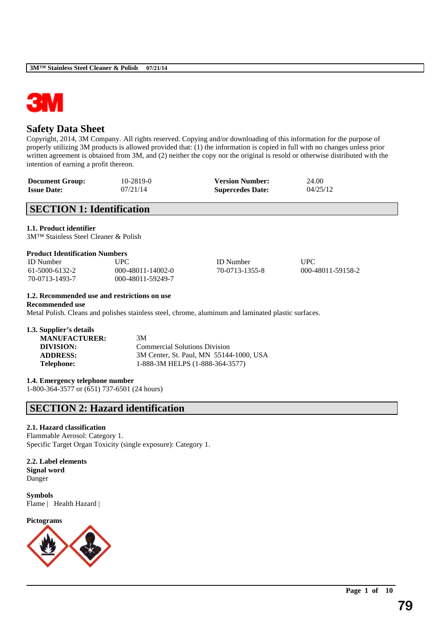

### **Safety Data Sheet**

Copyright, 2014, 3M Company. All rights reserved. Copying and/or downloading of this information for the purpose of properly utilizing 3M products is allowed provided that: (1) the information is copied in full with no changes unless prior written agreement is obtained from 3M, and (2) neither the copy nor the original is resold or otherwise distributed with the intention of earning a profit thereon.

| <b>Document Group:</b> | $10 - 2819 - 0$ | <b>Version Number:</b>  | 24.00    |
|------------------------|-----------------|-------------------------|----------|
| <b>Issue Date:</b>     | 07/21/14        | <b>Supercedes Date:</b> | 04/25/12 |

### **SECTION 1: Identification**

**1.1. Product identifier**

3M™ Stainless Steel Cleaner & Polish

#### **Product Identification Numbers**

| <b>ID</b> Number | UPC               | <b>ID</b> Number | UPC               |
|------------------|-------------------|------------------|-------------------|
| 61-5000-6132-2   | 000-48011-14002-0 | 70-0713-1355-8   | 000-48011-59158-2 |
| 70-0713-1493-7   | 000-48011-59249-7 |                  |                   |

\_\_\_\_\_\_\_\_\_\_\_\_\_\_\_\_\_\_\_\_\_\_\_\_\_\_\_\_\_\_\_\_\_\_\_\_\_\_\_\_\_\_\_\_\_\_\_\_\_\_\_\_\_\_\_\_\_\_\_\_\_\_\_\_\_\_\_\_\_\_\_\_\_\_\_\_\_\_\_\_\_\_\_\_\_\_\_\_\_\_

#### **1.2. Recommended use and restrictions on use**

**Recommended use**

Metal Polish. Cleans and polishes stainless steel, chrome, aluminum and laminated plastic surfaces.

#### **1.3. Supplier's details**

| <b>MANUFACTURER:</b> | 3M                                      |
|----------------------|-----------------------------------------|
| DIVISION:            | <b>Commercial Solutions Division</b>    |
| <b>ADDRESS:</b>      | 3M Center, St. Paul, MN 55144-1000, USA |
| <b>Telephone:</b>    | 1-888-3M HELPS (1-888-364-3577)         |
|                      |                                         |

**1.4. Emergency telephone number**

1-800-364-3577 or (651) 737-6501 (24 hours)

### **SECTION 2: Hazard identification**

#### **2.1. Hazard classification**

Flammable Aerosol: Category 1. Specific Target Organ Toxicity (single exposure): Category 1.

**2.2. Label elements Signal word** Danger

**Symbols** Flame | Health Hazard |

**Pictograms**

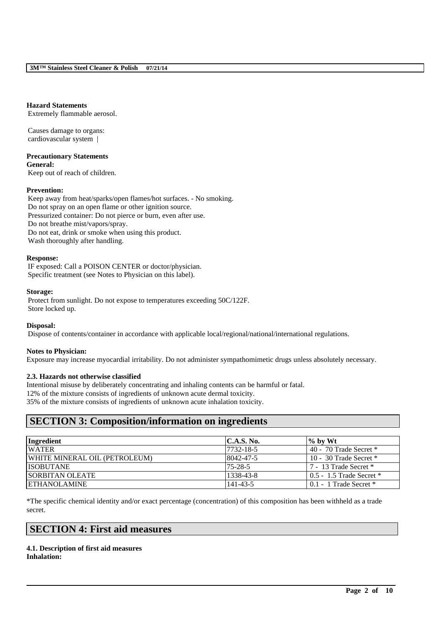#### **Hazard Statements**

Extremely flammable aerosol.

Causes damage to organs: cardiovascular system |

**Precautionary Statements General:**

Keep out of reach of children.

#### **Prevention:**

Keep away from heat/sparks/open flames/hot surfaces. - No smoking. Do not spray on an open flame or other ignition source. Pressurized container: Do not pierce or burn, even after use. Do not breathe mist/vapors/spray. Do not eat, drink or smoke when using this product. Wash thoroughly after handling.

#### **Response:**

IF exposed: Call a POISON CENTER or doctor/physician. Specific treatment (see Notes to Physician on this label).

#### **Storage:**

Protect from sunlight. Do not expose to temperatures exceeding 50C/122F. Store locked up.

#### **Disposal:**

Dispose of contents/container in accordance with applicable local/regional/national/international regulations.

#### **Notes to Physician:**

Exposure may increase myocardial irritability. Do not administer sympathomimetic drugs unless absolutely necessary.

#### **2.3. Hazards not otherwise classified**

Intentional misuse by deliberately concentrating and inhaling contents can be harmful or fatal.

12% of the mixture consists of ingredients of unknown acute dermal toxicity.

35% of the mixture consists of ingredients of unknown acute inhalation toxicity.

### **SECTION 3: Composition/information on ingredients**

| Ingredient                    | C.A.S. No.    | $\%$ by Wt                   |
|-------------------------------|---------------|------------------------------|
| <b>WATER</b>                  | 7732-18-5     | 40 - 70 Trade Secret $*$     |
| WHITE MINERAL OIL (PETROLEUM) | 8042-47-5     | 10 - 30 Trade Secret $*$     |
| <b>ISOBUTANE</b>              | $75 - 28 - 5$ | 7 - 13 Trade Secret *        |
| <b>ISORBITAN OLEATE</b>       | 1338-43-8     | $0.5 - 1.5$ Trade Secret $*$ |
| <b>IETHANOLAMINE</b>          | 141-43-5      | $0.1 - 1$ Trade Secret $*$   |

\*The specific chemical identity and/or exact percentage (concentration) of this composition has been withheld as a trade secret.

\_\_\_\_\_\_\_\_\_\_\_\_\_\_\_\_\_\_\_\_\_\_\_\_\_\_\_\_\_\_\_\_\_\_\_\_\_\_\_\_\_\_\_\_\_\_\_\_\_\_\_\_\_\_\_\_\_\_\_\_\_\_\_\_\_\_\_\_\_\_\_\_\_\_\_\_\_\_\_\_\_\_\_\_\_\_\_\_\_\_

### **SECTION 4: First aid measures**

**4.1. Description of first aid measures Inhalation:**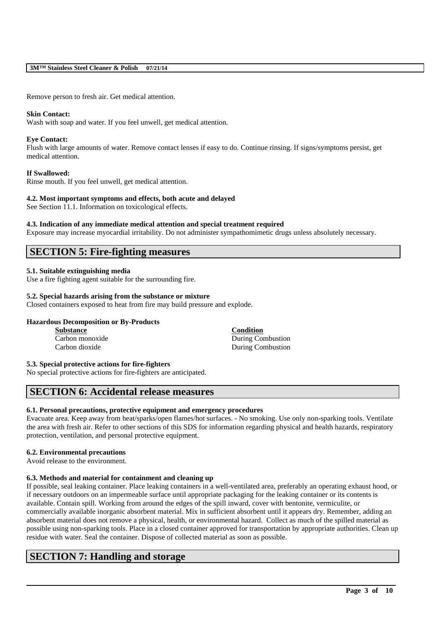#### **3M™ Stainless Steel Cleaner & Polish 07/21/14**

Remove person to fresh air. Get medical attention.

#### **Skin Contact:**

Wash with soap and water. If you feel unwell, get medical attention.

#### **Eye Contact:**

Flush with large amounts of water. Remove contact lenses if easy to do. Continue rinsing. If signs/symptoms persist, get medical attention.

#### **If Swallowed:**

Rinse mouth. If you feel unwell, get medical attention.

#### **4.2. Most important symptoms and effects, both acute and delayed**

See Section 11.1. Information on toxicological effects.

#### **4.3. Indication of any immediate medical attention and special treatment required**

Exposure may increase myocardial irritability. Do not administer sympathomimetic drugs unless absolutely necessary.

### **SECTION 5: Fire-fighting measures**

#### **5.1. Suitable extinguishing media**

Use a fire fighting agent suitable for the surrounding fire.

#### **5.2. Special hazards arising from the substance or mixture**

Closed containers exposed to heat from fire may build pressure and explode.

#### **Hazardous Decomposition or By-Products**

| <b>Substance</b> | <b>Condition</b>         |
|------------------|--------------------------|
| Carbon monoxide  | During Combustion        |
| Carbon dioxide   | <b>During Combustion</b> |

#### **5.3. Special protective actions for fire-fighters**

No special protective actions for fire-fighters are anticipated.

### **SECTION 6: Accidental release measures**

#### **6.1. Personal precautions, protective equipment and emergency procedures**

Evacuate area. Keep away from heat/sparks/open flames/hot surfaces. - No smoking. Use only non-sparking tools. Ventilate the area with fresh air. Refer to other sections of this SDS for information regarding physical and health hazards, respiratory protection, ventilation, and personal protective equipment.

#### **6.2. Environmental precautions**

Avoid release to the environment.

#### **6.3. Methods and material for containment and cleaning up**

If possible, seal leaking container. Place leaking containers in a well-ventilated area, preferably an operating exhaust hood, or if necessary outdoors on an impermeable surface until appropriate packaging for the leaking container or its contents is available. Contain spill. Working from around the edges of the spill inward, cover with bentonite, vermiculite, or commercially available inorganic absorbent material. Mix in sufficient absorbent until it appears dry. Remember, adding an absorbent material does not remove a physical, health, or environmental hazard. Collect as much of the spilled material as possible using non-sparking tools. Place in a closed container approved for transportation by appropriate authorities. Clean up residue with water. Seal the container. Dispose of collected material as soon as possible.

\_\_\_\_\_\_\_\_\_\_\_\_\_\_\_\_\_\_\_\_\_\_\_\_\_\_\_\_\_\_\_\_\_\_\_\_\_\_\_\_\_\_\_\_\_\_\_\_\_\_\_\_\_\_\_\_\_\_\_\_\_\_\_\_\_\_\_\_\_\_\_\_\_\_\_\_\_\_\_\_\_\_\_\_\_\_\_\_\_\_

### **SECTION 7: Handling and storage**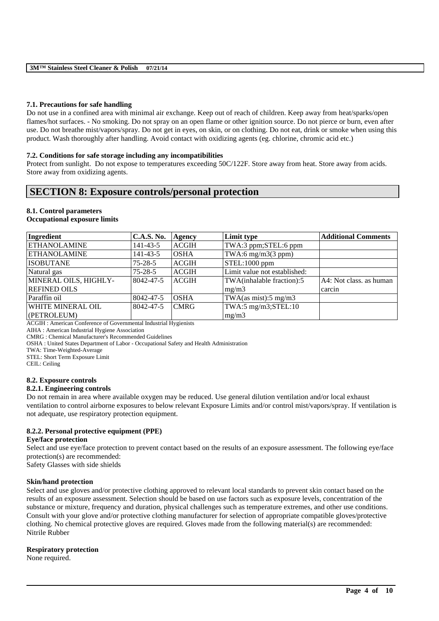#### **7.1. Precautions for safe handling**

Do not use in a confined area with minimal air exchange. Keep out of reach of children. Keep away from heat/sparks/open flames/hot surfaces. - No smoking. Do not spray on an open flame or other ignition source. Do not pierce or burn, even after use. Do not breathe mist/vapors/spray. Do not get in eyes, on skin, or on clothing. Do not eat, drink or smoke when using this product. Wash thoroughly after handling. Avoid contact with oxidizing agents (eg. chlorine, chromic acid etc.)

#### **7.2. Conditions for safe storage including any incompatibilities**

Protect from sunlight. Do not expose to temperatures exceeding 50C/122F. Store away from heat. Store away from acids. Store away from oxidizing agents.

### **SECTION 8: Exposure controls/personal protection**

### **8.1. Control parameters**

#### **Occupational exposure limits**

| Ingredient            | <b>C.A.S. No.</b> | Agency       | Limit type                       | <b>Additional Comments</b> |
|-----------------------|-------------------|--------------|----------------------------------|----------------------------|
| <b>ETHANOLAMINE</b>   | $141 - 43 - 5$    | <b>ACGIH</b> | TWA:3 ppm;STEL:6 ppm             |                            |
| <b>ETHANOLAMINE</b>   | $141 - 43 - 5$    | <b>OSHA</b>  | TWA:6 $mg/m3(3 ppm)$             |                            |
| <b>ISOBUTANE</b>      | $75 - 28 - 5$     | <b>ACGIH</b> | STEL:1000 ppm                    |                            |
| Natural gas           | $75 - 28 - 5$     | <b>ACGIH</b> | Limit value not established:     |                            |
| MINERAL OILS, HIGHLY- | 8042-47-5         | <b>ACGIH</b> | TWA(inhalable fraction):5        | A4: Not class, as human    |
| <b>REFINED OILS</b>   |                   |              | mg/m3                            | carcin                     |
| Paraffin oil          | 8042-47-5         | <b>OSHA</b>  | TWA $(as \text{ mist}):$ 5 mg/m3 |                            |
| WHITE MINERAL OIL     | 8042-47-5         | <b>CMRG</b>  | $TWA:5$ mg/m3;STEL:10            |                            |
| (PETROLEUM)           |                   |              | mg/m3                            |                            |

ACGIH : American Conference of Governmental Industrial Hygienists

AIHA : American Industrial Hygiene Association

CMRG : Chemical Manufacturer's Recommended Guidelines

OSHA : United States Department of Labor - Occupational Safety and Health Administration

TWA: Time-Weighted-Average

STEL: Short Term Exposure Limit

CEIL: Ceiling

#### **8.2. Exposure controls**

#### **8.2.1. Engineering controls**

Do not remain in area where available oxygen may be reduced. Use general dilution ventilation and/or local exhaust ventilation to control airborne exposures to below relevant Exposure Limits and/or control mist/vapors/spray. If ventilation is not adequate, use respiratory protection equipment.

#### **8.2.2. Personal protective equipment (PPE)**

#### **Eye/face protection**

Select and use eye/face protection to prevent contact based on the results of an exposure assessment. The following eye/face protection(s) are recommended:

Safety Glasses with side shields

#### **Skin/hand protection**

Select and use gloves and/or protective clothing approved to relevant local standards to prevent skin contact based on the results of an exposure assessment. Selection should be based on use factors such as exposure levels, concentration of the substance or mixture, frequency and duration, physical challenges such as temperature extremes, and other use conditions. Consult with your glove and/or protective clothing manufacturer for selection of appropriate compatible gloves/protective clothing. No chemical protective gloves are required. Gloves made from the following material(s) are recommended: Nitrile Rubber

\_\_\_\_\_\_\_\_\_\_\_\_\_\_\_\_\_\_\_\_\_\_\_\_\_\_\_\_\_\_\_\_\_\_\_\_\_\_\_\_\_\_\_\_\_\_\_\_\_\_\_\_\_\_\_\_\_\_\_\_\_\_\_\_\_\_\_\_\_\_\_\_\_\_\_\_\_\_\_\_\_\_\_\_\_\_\_\_\_\_

#### **Respiratory protection**

None required.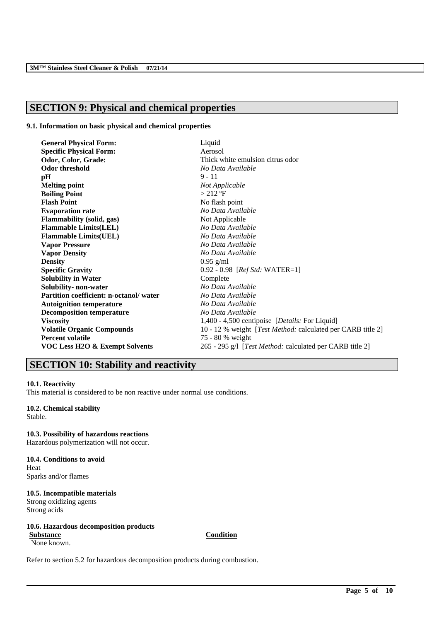## **SECTION 9: Physical and chemical properties**

#### **9.1. Information on basic physical and chemical properties**

| <b>General Physical Form:</b>          | Liquid                                                      |
|----------------------------------------|-------------------------------------------------------------|
| <b>Specific Physical Form:</b>         | Aerosol                                                     |
| Odor, Color, Grade:                    | Thick white emulsion citrus odor                            |
| <b>Odor threshold</b>                  | No Data Available                                           |
| pH                                     | $9 - 11$                                                    |
| <b>Melting point</b>                   | Not Applicable                                              |
| <b>Boiling Point</b>                   | $>212$ °F                                                   |
| <b>Flash Point</b>                     | No flash point                                              |
| <b>Evaporation rate</b>                | No Data Available                                           |
| <b>Flammability (solid, gas)</b>       | Not Applicable                                              |
| <b>Flammable Limits(LEL)</b>           | No Data Available                                           |
| <b>Flammable Limits(UEL)</b>           | No Data Available                                           |
| <b>Vapor Pressure</b>                  | No Data Available                                           |
| <b>Vapor Density</b>                   | No Data Available                                           |
| <b>Density</b>                         | $0.95$ g/ml                                                 |
| <b>Specific Gravity</b>                | $0.92 - 0.98$ [ <i>Ref Std:</i> WATER=1]                    |
| <b>Solubility in Water</b>             | Complete                                                    |
| Solubility- non-water                  | No Data Available                                           |
| Partition coefficient: n-octanol/water | No Data Available                                           |
| <b>Autoignition temperature</b>        | No Data Available                                           |
| <b>Decomposition temperature</b>       | No Data Available                                           |
| <b>Viscosity</b>                       | 1,400 - 4,500 centipoise [ <i>Details:</i> For Liquid]      |
| <b>Volatile Organic Compounds</b>      | 10 - 12 % weight [Test Method: calculated per CARB title 2] |
| <b>Percent volatile</b>                | 75 - 80 % weight                                            |
| VOC Less H2O & Exempt Solvents         | 265 - 295 g/l [Test Method: calculated per CARB title 2]    |

## **SECTION 10: Stability and reactivity**

#### **10.1. Reactivity**

This material is considered to be non reactive under normal use conditions.

#### **10.2. Chemical stability**

Stable.

**10.3. Possibility of hazardous reactions** Hazardous polymerization will not occur.

### **10.4. Conditions to avoid** Heat

Sparks and/or flames

### **10.5. Incompatible materials**

Strong oxidizing agents Strong acids

#### **10.6. Hazardous decomposition products Substance Condition**

None known.

\_\_\_\_\_\_\_\_\_\_\_\_\_\_\_\_\_\_\_\_\_\_\_\_\_\_\_\_\_\_\_\_\_\_\_\_\_\_\_\_\_\_\_\_\_\_\_\_\_\_\_\_\_\_\_\_\_\_\_\_\_\_\_\_\_\_\_\_\_\_\_\_\_\_\_\_\_\_\_\_\_\_\_\_\_\_\_\_\_\_

Refer to section 5.2 for hazardous decomposition products during combustion.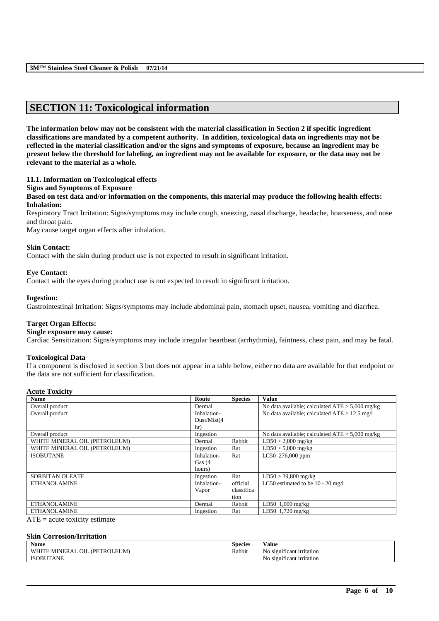### **SECTION 11: Toxicological information**

**The information below may not be consistent with the material classification in Section 2 if specific ingredient classifications are mandated by a competent authority. In addition, toxicological data on ingredients may not be reflected in the material classification and/or the signs and symptoms of exposure, because an ingredient may be present below the threshold for labeling, an ingredient may not be available for exposure, or the data may not be relevant to the material as a whole.**

#### **11.1. Information on Toxicological effects**

#### **Signs and Symptoms of Exposure**

**Based on test data and/or information on the components, this material may produce the following health effects: Inhalation:**

Respiratory Tract Irritation: Signs/symptoms may include cough, sneezing, nasal discharge, headache, hoarseness, and nose and throat pain.

May cause target organ effects after inhalation.

#### **Skin Contact:**

Contact with the skin during product use is not expected to result in significant irritation.

#### **Eye Contact:**

Contact with the eyes during product use is not expected to result in significant irritation.

#### **Ingestion:**

Gastrointestinal Irritation: Signs/symptoms may include abdominal pain, stomach upset, nausea, vomiting and diarrhea.

#### **Target Organ Effects:**

#### **Single exposure may cause:**

Cardiac Sensitization: Signs/symptoms may include irregular heartbeat (arrhythmia), faintness, chest pain, and may be fatal.

#### **Toxicological Data**

If a component is disclosed in section 3 but does not appear in a table below, either no data are available for that endpoint or the data are not sufficient for classification.

#### **Acute Toxicity**

| <b>Name</b>                                                                                                               | Route        | <b>Species</b> | <b>Value</b>                                      |
|---------------------------------------------------------------------------------------------------------------------------|--------------|----------------|---------------------------------------------------|
| Overall product                                                                                                           | Dermal       |                | No data available; calculated $ATE > 5,000$ mg/kg |
| Overall product                                                                                                           | Inhalation-  |                | No data available; calculated $ATE > 12.5$ mg/l   |
|                                                                                                                           | Dust/Mist(4) |                |                                                   |
|                                                                                                                           | hr)          |                |                                                   |
| Overall product                                                                                                           | Ingestion    |                | No data available; calculated $ATE > 5,000$ mg/kg |
| WHITE MINERAL OIL (PETROLEUM)                                                                                             | Dermal       | Rabbit         | $LD50 > 2,000$ mg/kg                              |
| WHITE MINERAL OIL (PETROLEUM)                                                                                             | Ingestion    | Rat            | $LD50 > 5,000$ mg/kg                              |
| <b>ISOBUTANE</b>                                                                                                          | Inhalation-  | Rat            | LC50 276,000 ppm                                  |
|                                                                                                                           | Gas $(4)$    |                |                                                   |
|                                                                                                                           | hours)       |                |                                                   |
| <b>SORBITAN OLEATE</b>                                                                                                    | Ingestion    | Rat            | $LD50 > 39,800$ mg/kg                             |
| <b>ETHANOLAMINE</b>                                                                                                       | Inhalation-  | official       | LC50 estimated to be $10 - 20$ mg/l               |
|                                                                                                                           | Vapor        | classifica     |                                                   |
|                                                                                                                           |              | tion           |                                                   |
| <b>ETHANOLAMINE</b>                                                                                                       | Dermal       | Rabbit         | $LD50$ 1,000 mg/kg                                |
| <b>ETHANOLAMINE</b>                                                                                                       | Ingestion    | Rat            | LD50 1,720 mg/kg                                  |
| the contract of the contract of the contract of the contract of the contract of<br>$\sim$ $\sim$ $\sim$<br>$\overline{a}$ |              |                |                                                   |

 $ATE = acute$  toxicity estimate

#### **Skin Corrosion/Irritation**

| <b>Name</b>                                       | -<br><b>Species</b> | -- -<br>V alue                                |
|---------------------------------------------------|---------------------|-----------------------------------------------|
| :OLEUM<br>ОIL<br>(PETR<br><b>MINERAL</b><br>WUTTI | Rabbit              | $\sim$<br>No<br>, signif*<br>ncant irritation |
| <b>ISOBUTANE</b>                                  |                     | $-$<br>N0<br>significant irritation           |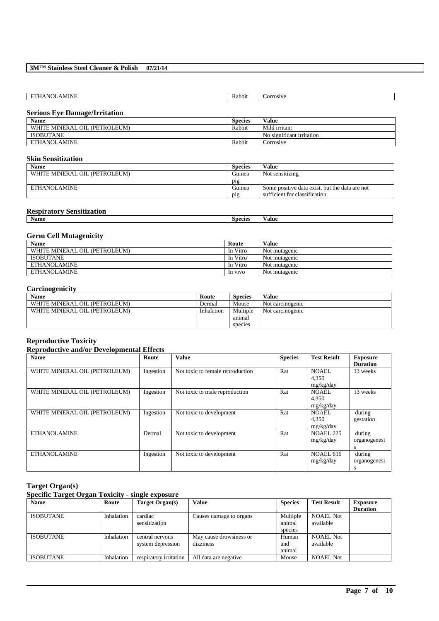| NI<br>…AMINE.<br>.<br>-<br>the contract of the contract of the contract of the contract of the contract of | Rabbit | <b>COLLOCATE</b> |
|------------------------------------------------------------------------------------------------------------|--------|------------------|
|                                                                                                            |        |                  |

#### **Serious Eye Damage/Irritation**

| <b>Species</b> | Value                     |
|----------------|---------------------------|
| Rabbit         | Mild irritant             |
|                | No significant irritation |
| Rabbit         | Corrosive                 |
|                |                           |

### **Skin Sensitization**

| Name                          | <b>Species</b> | Value                                          |
|-------------------------------|----------------|------------------------------------------------|
| WHITE MINERAL OIL (PETROLEUM) | Guinea         | Not sensitizing                                |
|                               | $p_{1g}$       |                                                |
| ETHANOLAMINE                  | Guinea         | Some positive data exist, but the data are not |
|                               | $p_1g$         | sufficient for classification                  |

#### **Respiratory Sensitization**

| Name |  | Species | ⁄ alue |
|------|--|---------|--------|
|      |  |         |        |

#### **Germ Cell Mutagenicity**

| <b>Name</b>                   | Route    | Value         |
|-------------------------------|----------|---------------|
| WHITE MINERAL OIL (PETROLEUM) | In Vitro | Not mutagenic |
| <b>ISOBUTANE</b>              | In Vitro | Not mutagenic |
| ETHANOLAMINE                  | In Vitro | Not mutagenic |
| ETHANOLAMINE                  | In vivo  | Not mutagenic |

#### **Carcinogenicity**

| <b>Name</b>                   | Route      | Species  | Value            |
|-------------------------------|------------|----------|------------------|
| WHITE MINERAL OIL (PETROLEUM) | Dermal     | Mouse    | Not carcinogenic |
| WHITE MINERAL OIL (PETROLEUM) | Inhalation | Multiple | Not carcinogenic |
|                               |            | anımal   |                  |
|                               |            | species  |                  |

#### **Reproductive Toxicity**

#### **Reproductive and/or Developmental Effects** Name **Route Route Value Species Test Result Exposure Duration** WHITE MINERAL OIL (PETROLEUM) Ingestion Not toxic to female reproduction Rat NOAEL 4,350 mg/kg/day<br>NOAEL 13 weeks WHITE MINERAL OIL (PETROLEUM) Ingestion Not toxic to male reproduction Rat 4,350 mg/kg/day<br>NOAEL 13 weeks WHITE MINERAL OIL (PETROLEUM) Ingestion Not toxic to development Rat 4,350 mg/kg/day<br>NOAEL 225 during gestation ETHANOLAMINE Dermal Not toxic to development Rat mg/kg/day during organogenesi s ETHANOLAMINE Ingestion Not toxic to development Rat NOAEL 616 mg/kg/day during organogenesi s

#### **Target Organ(s)**

#### **Specific Target Organ Toxicity - single exposure**

| <b>Name</b>      | Route      | Target Organ(s)        | <b>Value</b>            | <b>Species</b> | <b>Test Result</b> | <b>Exposure</b> |
|------------------|------------|------------------------|-------------------------|----------------|--------------------|-----------------|
|                  |            |                        |                         |                |                    | <b>Duration</b> |
| <b>ISOBUTANE</b> | Inhalation | cardiac                | Causes damage to organs | Multiple       | <b>NOAEL Not</b>   |                 |
|                  |            | sensitization          |                         | animal         | available          |                 |
|                  |            |                        |                         | species        |                    |                 |
| <b>ISOBUTANE</b> | Inhalation | central nervous        | May cause drowsiness or | Human          | <b>NOAEL Not</b>   |                 |
|                  |            | system depression      | dizziness               | and            | available          |                 |
|                  |            |                        |                         | animal         |                    |                 |
| <b>ISOBUTANE</b> | Inhalation | respiratory irritation | All data are negative   | Mouse          | <b>NOAEL Not</b>   |                 |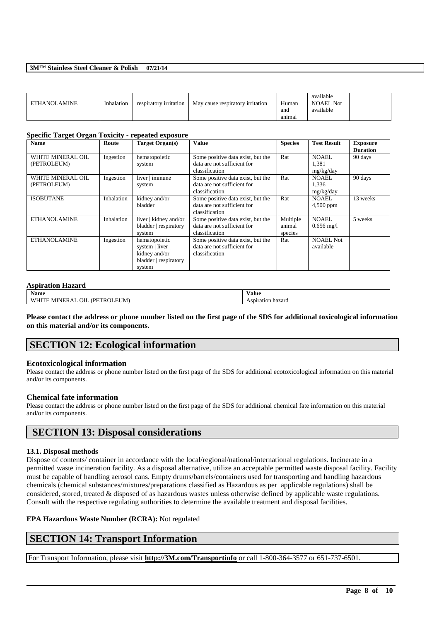#### **3M™ Stainless Steel Cleaner & Polish 07/21/14**

|              |            |                        |                                  |        | available        |  |
|--------------|------------|------------------------|----------------------------------|--------|------------------|--|
| ETHANOLAMINE | Inhalation | respiratory irritation | May cause respiratory irritation | Human  | <b>NOAEL Not</b> |  |
|              |            |                        |                                  | and    | available        |  |
|              |            |                        |                                  | anımal |                  |  |

#### **Specific Target Organ Toxicity - repeated exposure**

| <b>Name</b>                      | Route      | Target Organ(s)                                                                       | Value                                                                              | <b>Species</b>                | <b>Test Result</b>                   | <b>Exposure</b><br><b>Duration</b> |
|----------------------------------|------------|---------------------------------------------------------------------------------------|------------------------------------------------------------------------------------|-------------------------------|--------------------------------------|------------------------------------|
| WHITE MINERAL OIL<br>(PETROLEUM) | Ingestion  | hematopoietic<br>system                                                               | Some positive data exist, but the<br>data are not sufficient for<br>classification | Rat                           | <b>NOAEL</b><br>1,381<br>mg/kg/day   | 90 days                            |
| WHITE MINERAL OIL<br>(PETROLEUM) | Ingestion  | liver   immune<br>system                                                              | Some positive data exist, but the<br>data are not sufficient for<br>classification | Rat                           | <b>NOAEL</b><br>1,336<br>mg/kg/day   | 90 days                            |
| <b>ISOBUTANE</b>                 | Inhalation | kidney and/or<br>bladder                                                              | Some positive data exist, but the<br>data are not sufficient for<br>classification | Rat                           | <b>NOAEL</b><br>$4,500$ ppm          | 13 weeks                           |
| <b>ETHANOLAMINE</b>              | Inhalation | liver   kidney and/or<br>bladder   respiratory<br>system                              | Some positive data exist, but the<br>data are not sufficient for<br>classification | Multiple<br>animal<br>species | <b>NOAEL</b><br>$0.656 \text{ mg}/1$ | 5 weeks                            |
| <b>ETHANOLAMINE</b>              | Ingestion  | hematopoietic<br>system   liver  <br>kidney and/or<br>bladder   respiratory<br>system | Some positive data exist, but the<br>data are not sufficient for<br>classification | Rat                           | <b>NOAEL Not</b><br>available        |                                    |

#### **Aspiration Hazard**

| $\mathbf{v}$<br>Name                                                                      | ⁄ alue               |
|-------------------------------------------------------------------------------------------|----------------------|
| ----<br>$\sim$ $\sim$<br>--<br>/ PF<br>( ) I I<br>'NI.<br>anti Mi<br>EKAI<br>21 J F<br>к. | hazard<br>Aspiration |

**Please contact the address or phone number listed on the first page of the SDS for additional toxicological information on this material and/or its components.**

### **SECTION 12: Ecological information**

#### **Ecotoxicological information**

Please contact the address or phone number listed on the first page of the SDS for additional ecotoxicological information on this material and/or its components.

#### **Chemical fate information**

Please contact the address or phone number listed on the first page of the SDS for additional chemical fate information on this material and/or its components.

### **SECTION 13: Disposal considerations**

#### **13.1. Disposal methods**

Dispose of contents/ container in accordance with the local/regional/national/international regulations. Incinerate in a permitted waste incineration facility. As a disposal alternative, utilize an acceptable permitted waste disposal facility. Facility must be capable of handling aerosol cans. Empty drums/barrels/containers used for transporting and handling hazardous chemicals (chemical substances/mixtures/preparations classified as Hazardous as per applicable regulations) shall be considered, stored, treated & disposed of as hazardous wastes unless otherwise defined by applicable waste regulations. Consult with the respective regulating authorities to determine the available treatment and disposal facilities.

\_\_\_\_\_\_\_\_\_\_\_\_\_\_\_\_\_\_\_\_\_\_\_\_\_\_\_\_\_\_\_\_\_\_\_\_\_\_\_\_\_\_\_\_\_\_\_\_\_\_\_\_\_\_\_\_\_\_\_\_\_\_\_\_\_\_\_\_\_\_\_\_\_\_\_\_\_\_\_\_\_\_\_\_\_\_\_\_\_\_

#### **EPA Hazardous Waste Number (RCRA):** Not regulated

### **SECTION 14: Transport Information**

For Transport Information, please visit **http://3M.com/Transportinfo** or call 1-800-364-3577 or 651-737-6501.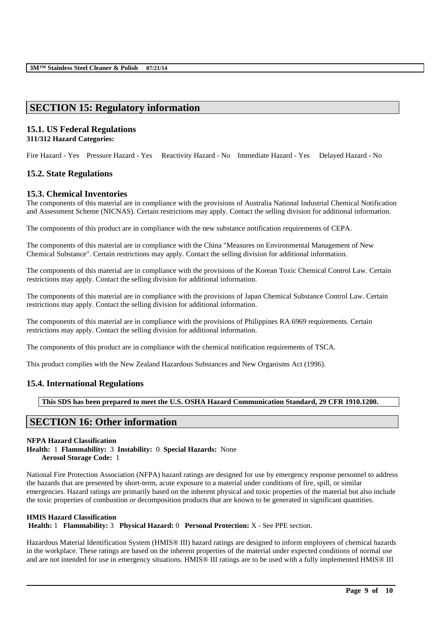### **SECTION 15: Regulatory information**

# **15.1. US Federal Regulations**

### **311/312 Hazard Categories:**

Fire Hazard - Yes Pressure Hazard - Yes Reactivity Hazard - No Immediate Hazard - Yes Delayed Hazard - No

### **15.2. State Regulations**

### **15.3. Chemical Inventories**

The components of this material are in compliance with the provisions of Australia National Industrial Chemical Notification and Assessment Scheme (NICNAS). Certain restrictions may apply. Contact the selling division for additional information.

The components of this product are in compliance with the new substance notification requirements of CEPA.

The components of this material are in compliance with the China "Measures on Environmental Management of New Chemical Substance". Certain restrictions may apply. Contact the selling division for additional information.

The components of this material are in compliance with the provisions of the Korean Toxic Chemical Control Law. Certain restrictions may apply. Contact the selling division for additional information.

The components of this material are in compliance with the provisions of Japan Chemical Substance Control Law. Certain restrictions may apply. Contact the selling division for additional information.

The components of this material are in compliance with the provisions of Philippines RA 6969 requirements. Certain restrictions may apply. Contact the selling division for additional information.

The components of this product are in compliance with the chemical notification requirements of TSCA.

This product complies with the New Zealand Hazardous Substances and New Organisms Act (1996).

### **15.4. International Regulations**

**This SDS has been prepared to meet the U.S. OSHA Hazard Communication Standard, 29 CFR 1910.1200.**

### **SECTION 16: Other information**

#### **NFPA Hazard Classification**

**Health:** 1 **Flammability:** 3 **Instability:** 0 **Special Hazards:** None **Aerosol Storage Code:** 1

National Fire Protection Association (NFPA) hazard ratings are designed for use by emergency response personnel to address the hazards that are presented by short-term, acute exposure to a material under conditions of fire, spill, or similar emergencies. Hazard ratings are primarily based on the inherent physical and toxic properties of the material but also include the toxic properties of combustion or decomposition products that are known to be generated in significant quantities.

#### **HMIS Hazard Classification**

**Health:** 1 **Flammability:** 3 **Physical Hazard:** 0 **Personal Protection:** X - See PPE section.

Hazardous Material Identification System (HMIS® III) hazard ratings are designed to inform employees of chemical hazards in the workplace. These ratings are based on the inherent properties of the material under expected conditions of normal use and are not intended for use in emergency situations. HMIS® III ratings are to be used with a fully implemented HMIS® III